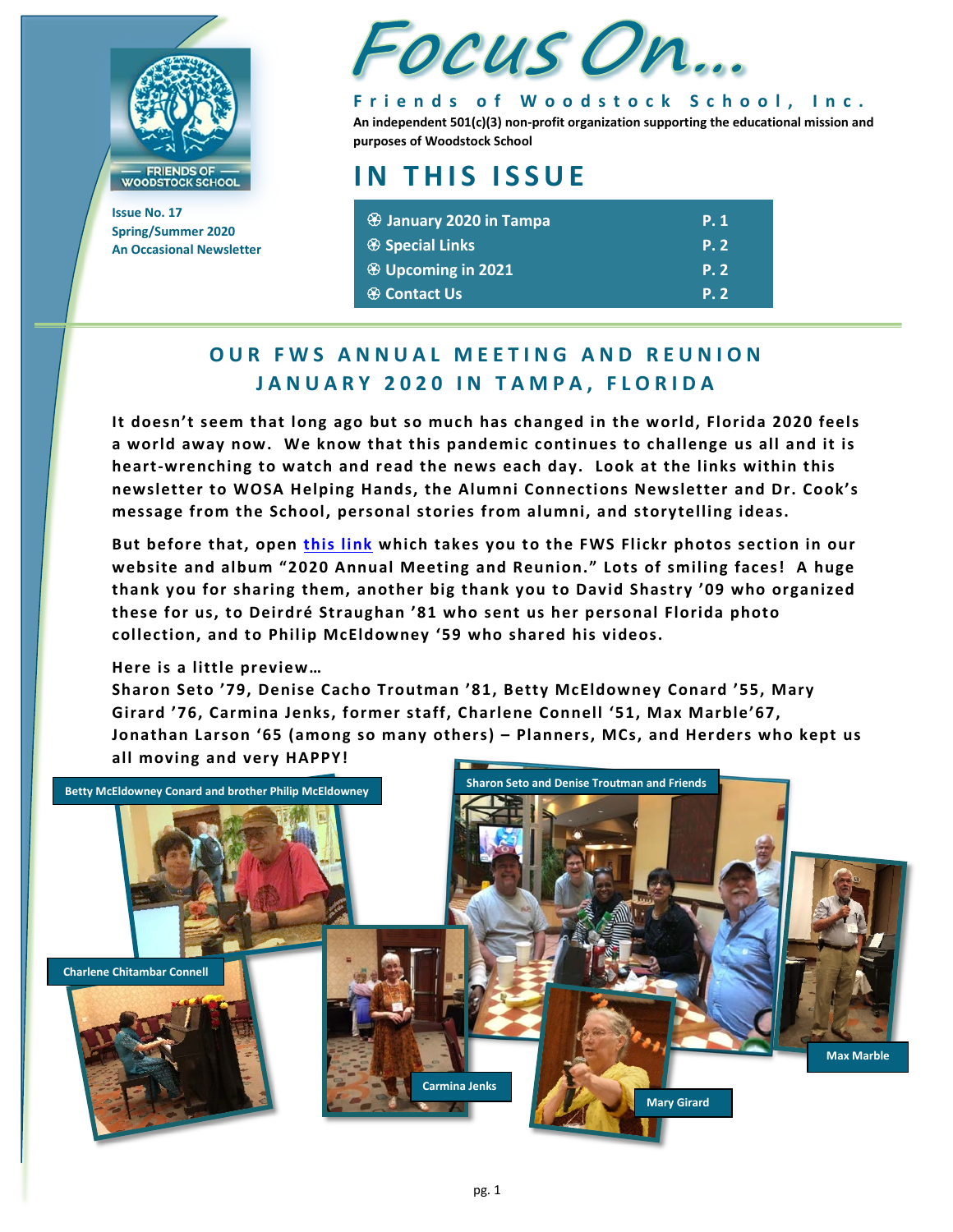

**Issue No. 17 Spring/Summer 2020 An Occasional Newsletter**



**Friends of Woodstock School, Inc. An independent 501(c)(3) non-profit organization supporting the educational mission and purposes of Woodstock School**

# **IN THIS ISSUE**

| <b>B</b> January 2020 in Tampa | <b>P.1</b> |
|--------------------------------|------------|
|                                | <b>P.2</b> |
| <b>E</b> Upcoming in 2021      | <b>P.2</b> |
| <b><sup>❸</sup> Contact Us</b> | <b>P.2</b> |

## **OUR FWS ANNUAL MEETING AND REUNION JANUARY 2020 IN TAMPA, FLORIDA**

**It doesn't seem that long ago but so much has changed in the world, Florida 2020 feels a world away now. We know that this pandemic continues to challenge us all and it is heart-wrenching to watch and read the news each day. Look at the links within this newsletter to WOSA Helping Hands, the Alumni Connections Newsletter and Dr. Cook's message from the School, personal stories from alumni, and storytelling ideas.** 

**But before that, open [this link](https://www.flickr.com/photos/135690595@N08/albums) which takes you to the FWS Flickr photos section in our website and album "2020 Annual Meeting and Reunion." Lots of smiling faces! A huge thank you for sharing them, another big thank you to David Shastry '09 who organized these for us, to Deirdré Straughan '81 who sent us her personal Florida photo collection, and to Philip McEldowney '59 who shared his videos.** 

**Here is a little preview…**

**Sharon Seto '79, Denise Cacho Troutman '81, Betty McEldowney Conard '55, Mary Girard '76, Carmina Jenks, former staff, Charlene Connell '51, Max Marble'67, Jonathan Larson '65 (among so many others) – Planners, MCs, and Herders who kept us all moving and very HAPPY!**